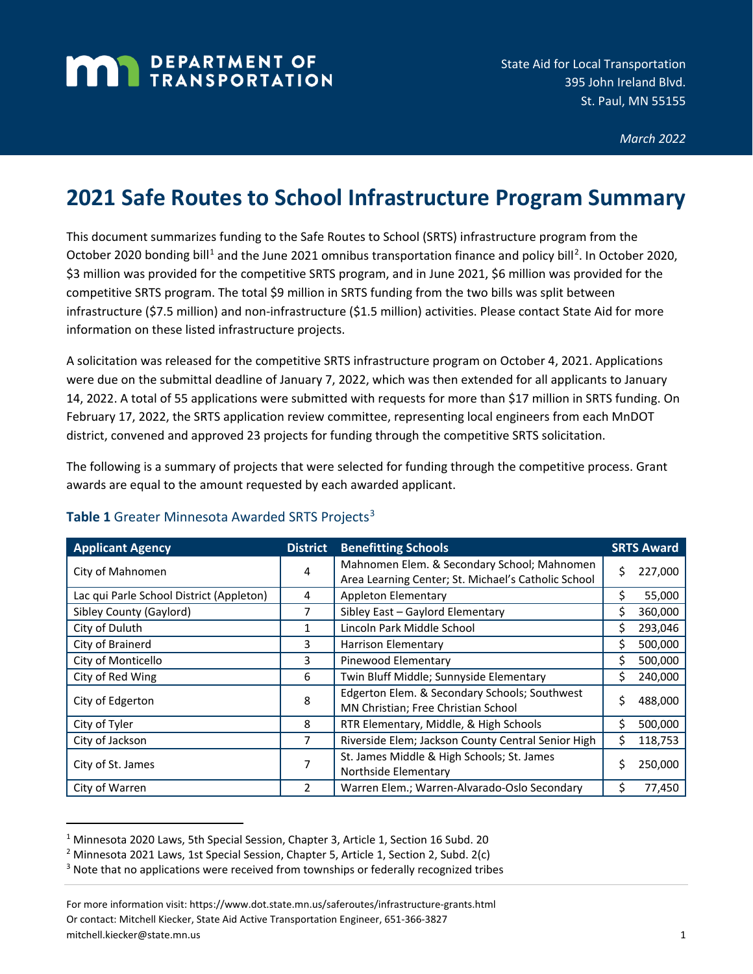## **MAN** DEPARTMENT OF

*March 2022*

## **2021 Safe Routes to School Infrastructure Program Summary**

This document summarizes funding to the Safe Routes to School (SRTS) infrastructure program from the October 2020 bonding bill<sup>[1](#page-0-0)</sup> and the June [2](#page-0-1)021 omnibus transportation finance and policy bill<sup>2</sup>. In October 2020, \$3 million was provided for the competitive SRTS program, and in June 2021, \$6 million was provided for the competitive SRTS program. The total \$9 million in SRTS funding from the two bills was split between infrastructure (\$7.5 million) and non-infrastructure (\$1.5 million) activities. Please contact State Aid for more information on these listed infrastructure projects.

A solicitation was released for the competitive SRTS infrastructure program on October 4, 2021. Applications were due on the submittal deadline of January 7, 2022, which was then extended for all applicants to January 14, 2022. A total of 55 applications were submitted with requests for more than \$17 million in SRTS funding. On February 17, 2022, the SRTS application review committee, representing local engineers from each MnDOT district, convened and approved 23 projects for funding through the competitive SRTS solicitation.

The following is a summary of projects that were selected for funding through the competitive process. Grant awards are equal to the amount requested by each awarded applicant.

| <b>Applicant Agency</b>                  | <b>District</b> | <b>Benefitting Schools</b>                                                                         | <b>SRTS Award</b> |
|------------------------------------------|-----------------|----------------------------------------------------------------------------------------------------|-------------------|
| City of Mahnomen                         | 4               | Mahnomen Elem. & Secondary School; Mahnomen<br>Area Learning Center; St. Michael's Catholic School | \$<br>227,000     |
| Lac qui Parle School District (Appleton) | 4               | Appleton Elementary                                                                                | 55,000<br>Ś       |
| Sibley County (Gaylord)                  |                 | Sibley East - Gaylord Elementary                                                                   | Ś<br>360,000      |
| City of Duluth                           |                 | Lincoln Park Middle School                                                                         | 293,046<br>S.     |
| City of Brainerd                         | 3               | <b>Harrison Elementary</b>                                                                         | 500,000<br>Ś.     |
| City of Monticello                       | 3               | Pinewood Elementary                                                                                | 500,000           |
| City of Red Wing                         | 6               | Twin Bluff Middle; Sunnyside Elementary                                                            | 240,000<br>S      |
| City of Edgerton                         | 8               | Edgerton Elem. & Secondary Schools; Southwest<br>MN Christian; Free Christian School               | Ś.<br>488,000     |
| City of Tyler                            | 8               | RTR Elementary, Middle, & High Schools                                                             | 500,000<br>Ś.     |
| City of Jackson                          | 7               | Riverside Elem; Jackson County Central Senior High                                                 | Ś.<br>118,753     |
| City of St. James                        | 7               | St. James Middle & High Schools; St. James<br>Northside Elementary                                 | Ś<br>250,000      |
| City of Warren                           |                 | Warren Elem.; Warren-Alvarado-Oslo Secondary                                                       | 77,450<br>\$      |

## Table 1 Greater Minnesota Awarded SRTS Projects<sup>[3](#page-0-2)</sup>

<span id="page-0-0"></span><sup>1</sup> Minnesota 2020 Laws, 5th Special Session, Chapter 3, Article 1, Section 16 Subd. 20

<span id="page-0-1"></span><sup>&</sup>lt;sup>2</sup> Minnesota 2021 Laws, 1st Special Session, Chapter 5, Article 1, Section 2, Subd. 2(c)

<span id="page-0-2"></span><sup>&</sup>lt;sup>3</sup> Note that no applications were received from townships or federally recognized tribes

For more information visit: https://www.dot.state.mn.us/saferoutes/infrastructure-grants.html Or contact: Mitchell Kiecker, State Aid Active Transportation Engineer, 651-366-3827 mitchell.kiecker@state.mn.us 1